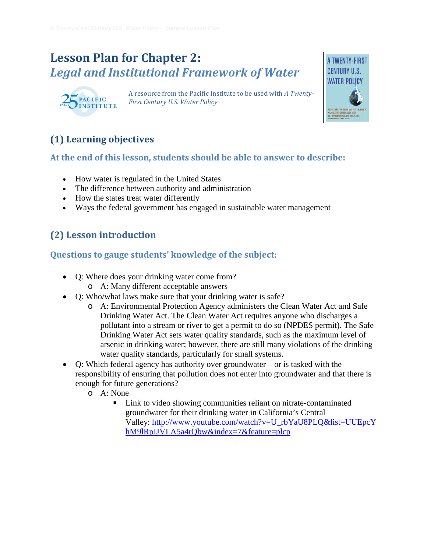## **Lesson Plan for Chapter 2:** *Legal and Institutional Framework of Water*



A resource from the Pacific Institute to be used with *A Twenty-First Century U.S. Water Policy* 



## **(1) Learning objectives**

#### **At the end of this lesson, students should be able to answer to describe:**

- How water is regulated in the United States
- The difference between authority and administration
- How the states treat water differently
- Ways the federal government has engaged in sustainable water management

## **(2) Lesson introduction**

#### **Questions to gauge students' knowledge of the subject:**

- Q: Where does your drinking water come from?
	- o A: Many different acceptable answers
- O: Who/what laws make sure that your drinking water is safe?
	- o A: Environmental Protection Agency administers the Clean Water Act and Safe Drinking Water Act. The Clean Water Act requires anyone who discharges a pollutant into a stream or river to get a permit to do so (NPDES permit). The Safe Drinking Water Act sets water quality standards, such as the maximum level of arsenic in drinking water; however, there are still many violations of the drinking water quality standards, particularly for small systems.
- Q: Which federal agency has authority over groundwater or is tasked with the responsibility of ensuring that pollution does not enter into groundwater and that there is enough for future generations?
	- o A: None
		- Link to video showing communities reliant on nitrate-contaminated groundwater for their drinking water in California's Central Valley: [http://www.youtube.com/watch?v=U\\_rbYaU8PLQ&list=UUEpcY](http://www.youtube.com/watch?v=U_rbYaU8PLQ&list=UUEpcYhM9lRpIJVLA5a4rQbw&index=7&feature=plcp) [hM9lRpIJVLA5a4rQbw&index=7&feature=plcp](http://www.youtube.com/watch?v=U_rbYaU8PLQ&list=UUEpcYhM9lRpIJVLA5a4rQbw&index=7&feature=plcp)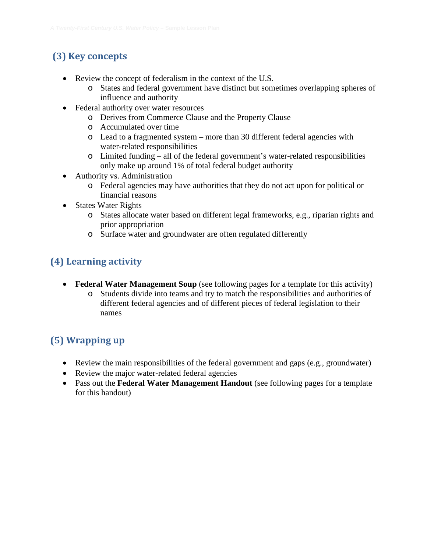## **(3) Key concepts**

- Review the concept of federalism in the context of the U.S.
	- o States and federal government have distinct but sometimes overlapping spheres of influence and authority
- Federal authority over water resources
	- o Derives from Commerce Clause and the Property Clause
	- o Accumulated over time
	- o Lead to a fragmented system more than 30 different federal agencies with water-related responsibilities
	- o Limited funding all of the federal government's water-related responsibilities only make up around 1% of total federal budget authority
- Authority vs. Administration
	- o Federal agencies may have authorities that they do not act upon for political or financial reasons
- States Water Rights
	- o States allocate water based on different legal frameworks, e.g., riparian rights and prior appropriation
	- o Surface water and groundwater are often regulated differently

## **(4) Learning activity**

- **Federal Water Management Soup** (see following pages for a template for this activity)
	- o Students divide into teams and try to match the responsibilities and authorities of different federal agencies and of different pieces of federal legislation to their names

## **(5) Wrapping up**

- Review the main responsibilities of the federal government and gaps (e.g., groundwater)
- Review the major water-related federal agencies
- Pass out the **Federal Water Management Handout** (see following pages for a template for this handout)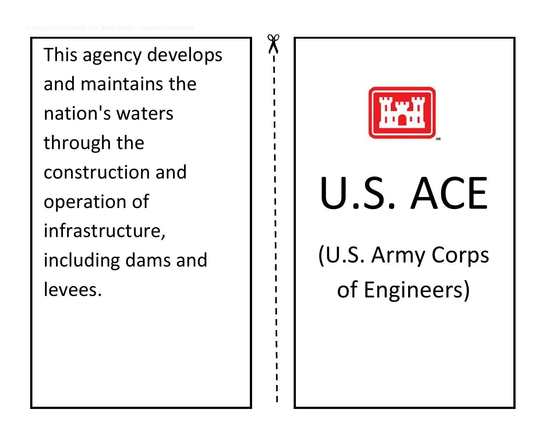This agency develops and maintains the nation's waters through the construction and operation of infrastructure, including dams and levees.



of Engineers)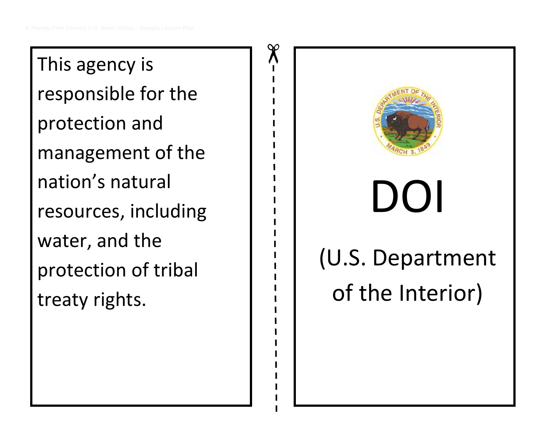This agency is responsible for the protection and management of the nation's natural resources, including water, and the protection of tribal treaty rights.

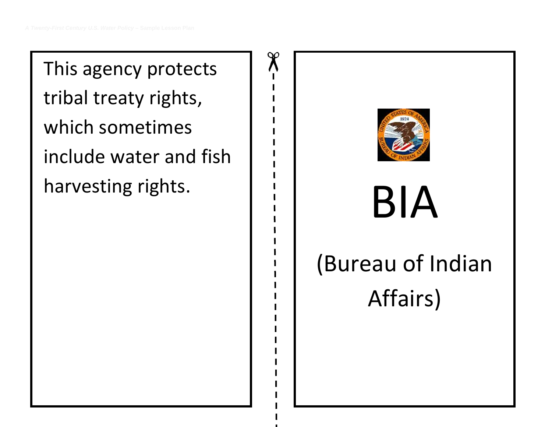This agency protects tribal treaty rights, which sometimes include water and fish harvesting rights.

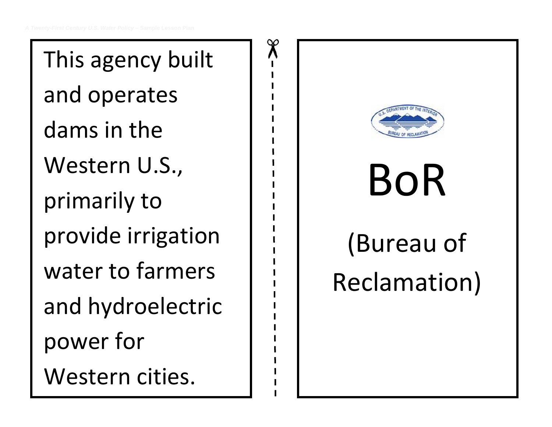This agency built and operates dams in the Western U.S., primarily to provide irrigation water to farmers and hydroelectric power for Western cities.

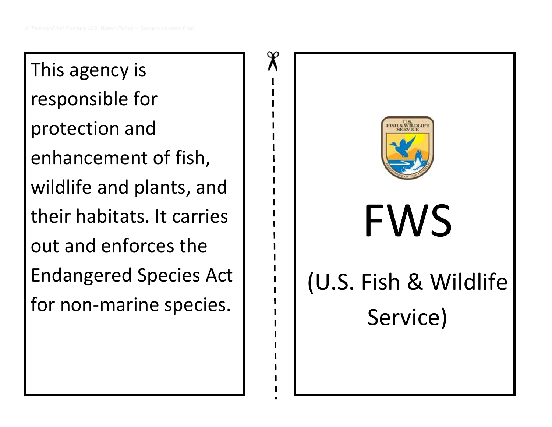This agency is responsible for protection and enhancement of fish, wildlife and plants, and their habitats. It carries out and enforces the Endangered Species Act for non-marine species.

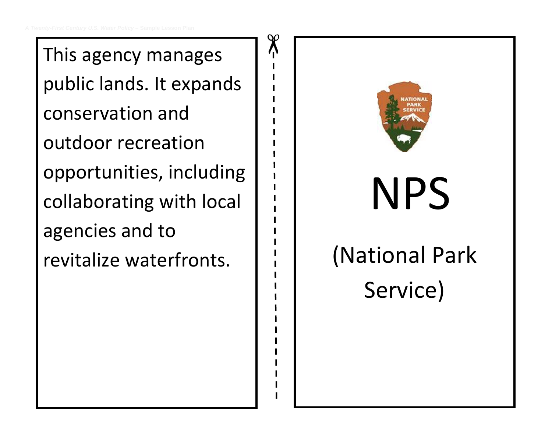This agency manages public lands. It expands conservation and outdoor recreation opportunities, including collaborating with local agencies and to revitalize waterfronts.

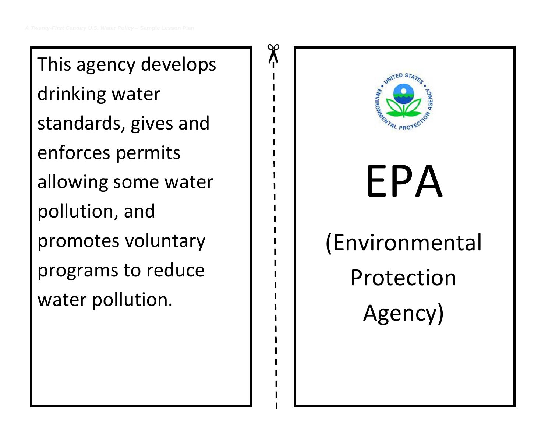This agency develops drinking water standards, gives and enforces permits allowing some water pollution, and promotes voluntary programs to reduce water pollution.

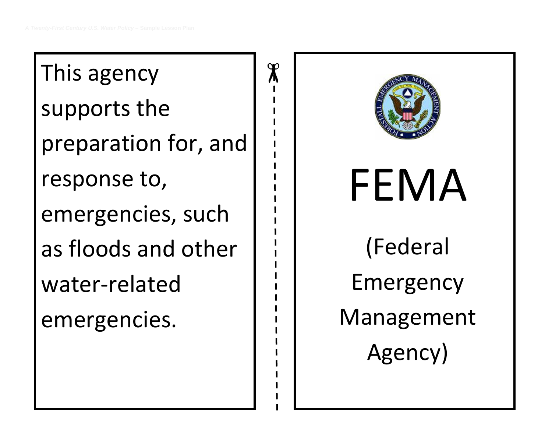$\chi$ This agency supports the preparation for, and response to, emergencies, such as floods and other water-related emergencies.

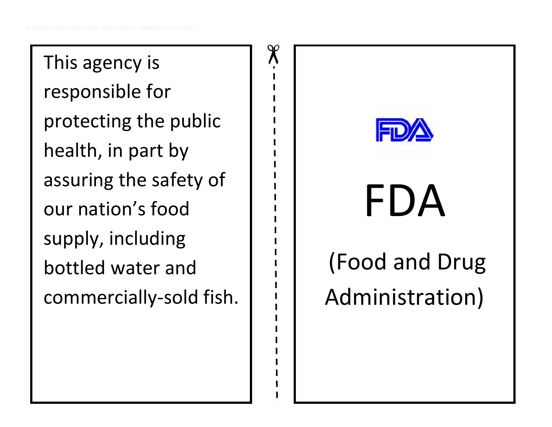This agency is responsible for protecting the public health, in part by assuring the safety of our nation's food supply, including bottled water and commercially-sold fish.

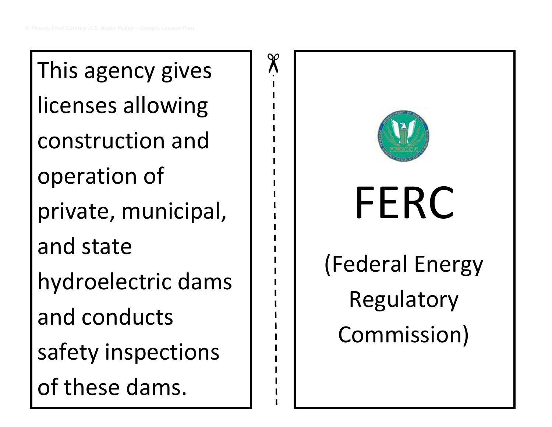This agency gives licenses allowing construction and operation of private, municipal, and state hydroelectric dams and conducts safety inspections of these dams.

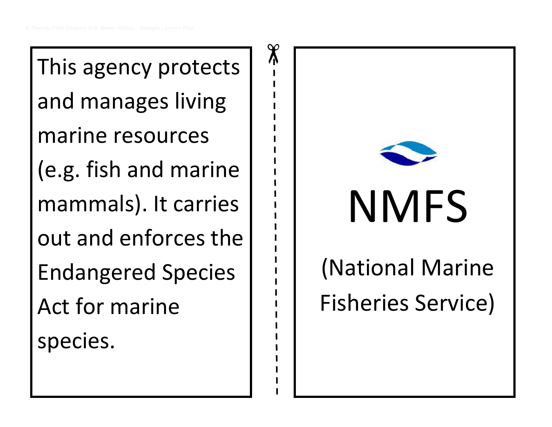This agency protects and manages living marine resources (e.g. fish and marine mammals). It carries out and enforces the Endangered Species Act for marine species.

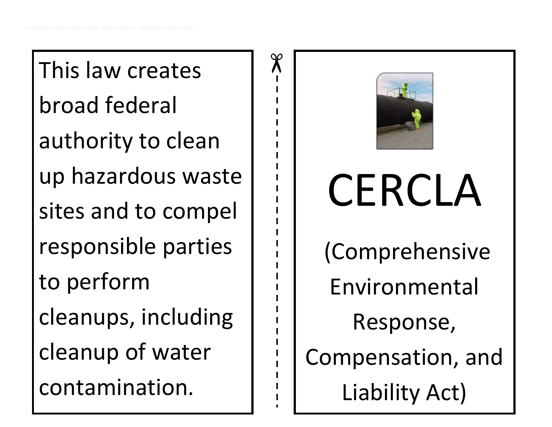This law creates broad federal authority to clean up hazardous waste sites and to compel responsible parties to perform cleanups, including cleanup of water contamination.



# **CERCLA** (Comprehensive Environmental Response, Compensation, and Liability Act)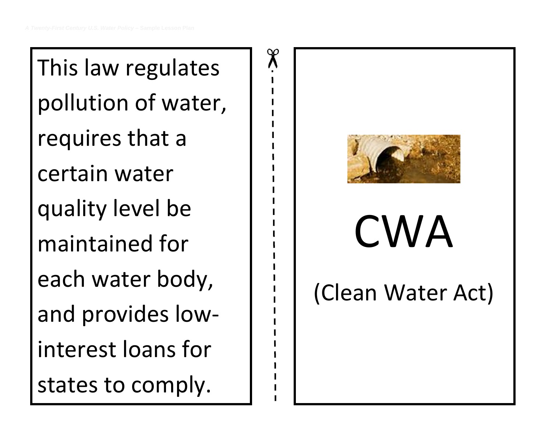This law regulates pollution of water, requires that a certain water quality level be maintained for each water body, and provides lowinterest loans for states to comply.

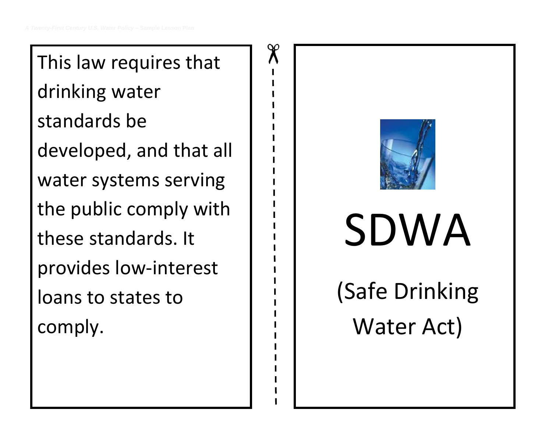This law requires that drinking water standards be developed, and that all water systems serving the public comply with these standards. It provides low-interest loans to states to comply.

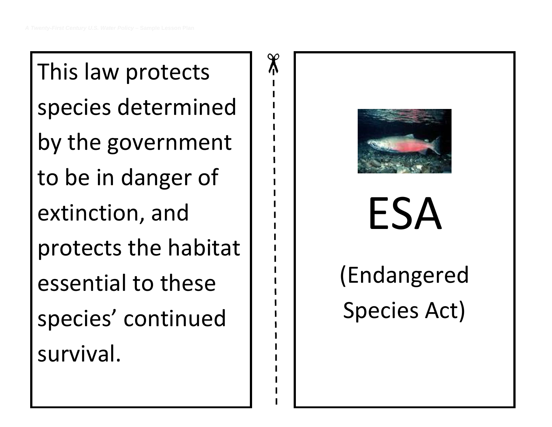This law protects species determined by the government to be in danger of extinction, and protects the habitat essential to these species' continued survival.

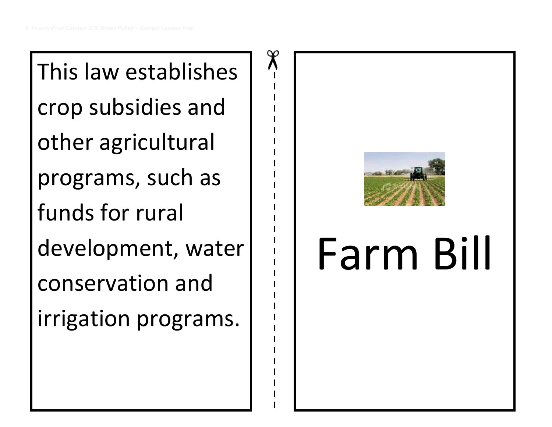This law establishes crop subsidies and other agricultural programs, such as funds for rural development, water conservation and irrigation programs.

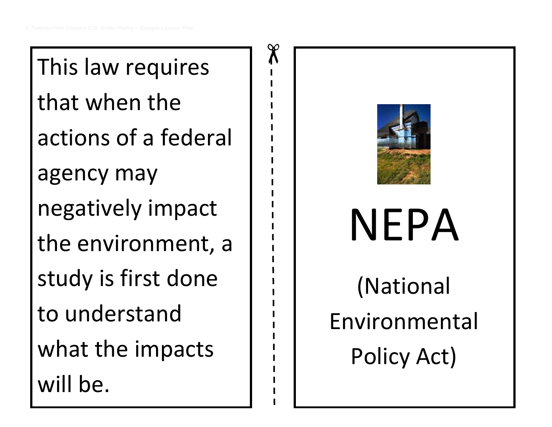This law requires that when the actions of a federal agency may negatively impact the environment, a study is first done to understand what the impacts will be.